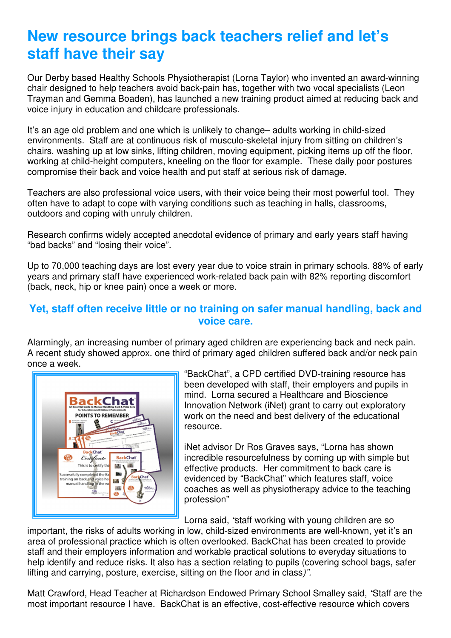## **New resource brings back teachers relief and let's staff have their say**

Our Derby based Healthy Schools Physiotherapist (Lorna Taylor) who invented an award-winning chair designed to help teachers avoid back-pain has, together with two vocal specialists (Leon Trayman and Gemma Boaden), has launched a new training product aimed at reducing back and voice injury in education and childcare professionals.

It's an age old problem and one which is unlikely to change– adults working in child-sized environments. Staff are at continuous risk of musculo-skeletal injury from sitting on children's chairs, washing up at low sinks, lifting children, moving equipment, picking items up off the floor, working at child-height computers, kneeling on the floor for example. These daily poor postures compromise their back and voice health and put staff at serious risk of damage.

Teachers are also professional voice users, with their voice being their most powerful tool. They often have to adapt to cope with varying conditions such as teaching in halls, classrooms, outdoors and coping with unruly children.

Research confirms widely accepted anecdotal evidence of primary and early years staff having "bad backs" and "losing their voice".

Up to 70,000 teaching days are lost every year due to voice strain in primary schools. 88% of early years and primary staff have experienced work-related back pain with 82% reporting discomfort (back, neck, hip or knee pain) once a week or more.

## **Yet, staff often receive little or no training on safer manual handling, back and voice care.**

Alarmingly, an increasing number of primary aged children are experiencing back and neck pain. A recent study showed approx. one third of primary aged children suffered back and/or neck pain once a week.



"BackChat", a CPD certified DVD-training resource has been developed with staff, their employers and pupils in mind. Lorna secured a Healthcare and Bioscience Innovation Network (iNet) grant to carry out exploratory work on the need and best delivery of the educational resource.

iNet advisor Dr Ros Graves says, "Lorna has shown incredible resourcefulness by coming up with simple but effective products. Her commitment to back care is evidenced by "BackChat" which features staff, voice coaches as well as physiotherapy advice to the teaching profession"

Lorna said, "staff working with young children are so

important, the risks of adults working in low, child-sized environments are well-known, yet it's an area of professional practice which is often overlooked. BackChat has been created to provide staff and their employers information and workable practical solutions to everyday situations to help identify and reduce risks. It also has a section relating to pupils (covering school bags, safer lifting and carrying, posture, exercise, sitting on the floor and in class)".

Matt Crawford, Head Teacher at Richardson Endowed Primary School Smalley said, "Staff are the most important resource I have. BackChat is an effective, cost-effective resource which covers